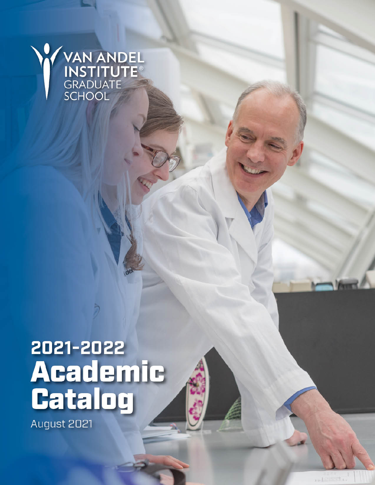

# 2021-2022 **Academic<br>Catalog**

August 2021

in-1-Internet a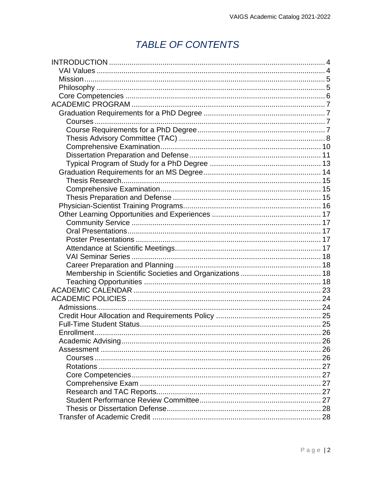# **TABLE OF CONTENTS**

| Enrollment |  |
|------------|--|
|            |  |
|            |  |
|            |  |
|            |  |
|            |  |
|            |  |
|            |  |
|            |  |
|            |  |
|            |  |
|            |  |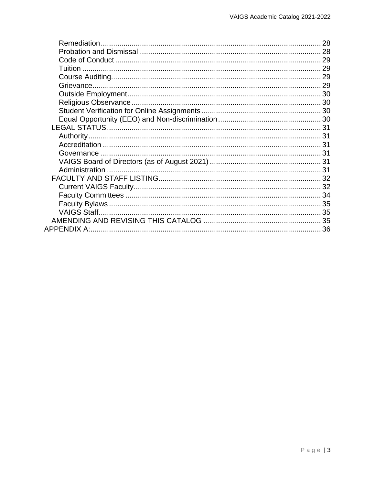| 28 |
|----|
|    |
|    |
|    |
|    |
|    |
|    |
|    |
|    |
|    |
|    |
|    |
|    |
|    |
|    |
|    |
|    |
|    |
|    |
|    |
|    |
|    |
|    |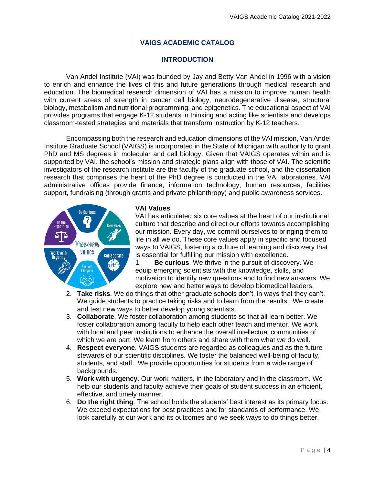# **VAIGS ACADEMIC CATALOG**

# **INTRODUCTION**

<span id="page-3-0"></span>Van Andel Institute (VAI) was founded by Jay and Betty Van Andel in 1996 with a vision to enrich and enhance the lives of this and future generations through medical research and education. The biomedical research dimension of VAI has a mission to improve human health with current areas of strength in cancer cell biology, neurodegenerative disease, structural biology, metabolism and nutritional programming, and epigenetics. The educational aspect of VAI provides programs that engage K-12 students in thinking and acting like scientists and develops classroom-tested strategies and materials that transform instruction by K-12 teachers.

Encompassing both the research and education dimensions of the VAI mission, Van Andel Institute Graduate School (VAIGS) is incorporated in the State of Michigan with authority to grant PhD and MS degrees in molecular and cell biology. Given that VAIGS operates within and is supported by VAI, the school's mission and strategic plans align with those of VAI. The scientific investigators of the research institute are the faculty of the graduate school, and the dissertation research that comprises the heart of the PhD degree is conducted in the VAI laboratories. VAI administrative offices provide finance, information technology, human resources, facilities support, fundraising (through grants and private philanthropy) and public awareness services.

# <span id="page-3-1"></span>**VAI Values**

VAI has articulated six core values at the heart of our institutional culture that describe and direct our efforts towards accomplishing our mission. Every day, we commit ourselves to bringing them to life in all we do. These core values apply in specific and focused ways to VAIGS, fostering a culture of learning and discovery that is essential for fulfilling our mission with excellence.

1. **Be curious**. We thrive in the pursuit of discovery. We equip emerging scientists with the knowledge, skills, and motivation to identify new questions and to find new answers. We explore new and better ways to develop biomedical leaders.

- 2. **Take risks**. We do things that other graduate schools don't, in ways that they can't. We guide students to practice taking risks and to learn from the results. We create and test new ways to better develop young scientists.
- 3. **Collaborate**. We foster collaboration among students so that all learn better. We foster collaboration among faculty to help each other teach and mentor. We work with local and peer institutions to enhance the overall intellectual communities of which we are part. We learn from others and share with them what we do well.
- 4. **Respect everyone**. VAIGS students are regarded as colleagues and as the future stewards of our scientific disciplines. We foster the balanced well-being of faculty, students, and staff. We provide opportunities for students from a wide range of backgrounds.
- 5. **Work with urgency**. Our work matters, in the laboratory and in the classroom. We help our students and faculty achieve their goals of student success in an efficient, effective, and timely manner.
- 6. **Do the right thing**. The school holds the students' best interest as its primary focus. We exceed expectations for best practices and for standards of performance. We look carefully at our work and its outcomes and we seek ways to do things better.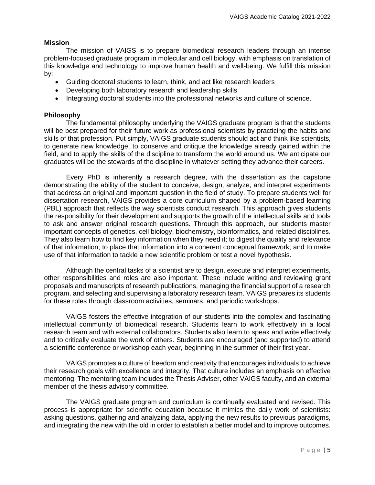# <span id="page-4-0"></span>**Mission**

The mission of VAIGS is to prepare biomedical research leaders through an intense problem-focused graduate program in molecular and cell biology, with emphasis on translation of this knowledge and technology to improve human health and well-being. We fulfill this mission by:

- Guiding doctoral students to learn, think, and act like research leaders
- Developing both laboratory research and leadership skills
- Integrating doctoral students into the professional networks and culture of science.

# <span id="page-4-1"></span>**Philosophy**

The fundamental philosophy underlying the VAIGS graduate program is that the students will be best prepared for their future work as professional scientists by practicing the habits and skills of that profession. Put simply, VAIGS graduate students should act and think like scientists, to generate new knowledge, to conserve and critique the knowledge already gained within the field, and to apply the skills of the discipline to transform the world around us. We anticipate our graduates will be the stewards of the discipline in whatever setting they advance their careers.

Every PhD is inherently a research degree, with the dissertation as the capstone demonstrating the ability of the student to conceive, design, analyze, and interpret experiments that address an original and important question in the field of study. To prepare students well for dissertation research, VAIGS provides a core curriculum shaped by a problem-based learning (PBL) approach that reflects the way scientists conduct research. This approach gives students the responsibility for their development and supports the growth of the intellectual skills and tools to ask and answer original research questions. Through this approach, our students master important concepts of genetics, cell biology, biochemistry, bioinformatics, and related disciplines. They also learn how to find key information when they need it; to digest the quality and relevance of that information; to place that information into a coherent conceptual framework; and to make use of that information to tackle a new scientific problem or test a novel hypothesis.

Although the central tasks of a scientist are to design, execute and interpret experiments, other responsibilities and roles are also important. These include writing and reviewing grant proposals and manuscripts of research publications, managing the financial support of a research program, and selecting and supervising a laboratory research team. VAIGS prepares its students for these roles through classroom activities, seminars, and periodic workshops.

VAIGS fosters the effective integration of our students into the complex and fascinating intellectual community of biomedical research. Students learn to work effectively in a local research team and with external collaborators. Students also learn to speak and write effectively and to critically evaluate the work of others. Students are encouraged (and supported) to attend a scientific conference or workshop each year, beginning in the summer of their first year.

VAIGS promotes a culture of freedom and creativity that encourages individuals to achieve their research goals with excellence and integrity. That culture includes an emphasis on effective mentoring. The mentoring team includes the Thesis Adviser, other VAIGS faculty, and an external member of the thesis advisory committee.

The VAIGS graduate program and curriculum is continually evaluated and revised. This process is appropriate for scientific education because it mimics the daily work of scientists: asking questions, gathering and analyzing data, applying the new results to previous paradigms, and integrating the new with the old in order to establish a better model and to improve outcomes.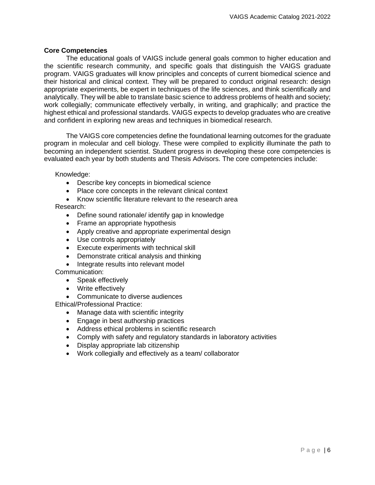# <span id="page-5-0"></span>**Core Competencies**

The educational goals of VAIGS include general goals common to higher education and the scientific research community, and specific goals that distinguish the VAIGS graduate program. VAIGS graduates will know principles and concepts of current biomedical science and their historical and clinical context. They will be prepared to conduct original research: design appropriate experiments, be expert in techniques of the life sciences, and think scientifically and analytically. They will be able to translate basic science to address problems of health and society; work collegially; communicate effectively verbally, in writing, and graphically; and practice the highest ethical and professional standards. VAIGS expects to develop graduates who are creative and confident in exploring new areas and techniques in biomedical research.

The VAIGS core competencies define the foundational learning outcomes for the graduate program in molecular and cell biology. These were compiled to explicitly illuminate the path to becoming an independent scientist. Student progress in developing these core competencies is evaluated each year by both students and Thesis Advisors. The core competencies include:

Knowledge:

- Describe key concepts in biomedical science
- Place core concepts in the relevant clinical context
- Know scientific literature relevant to the research area

Research:

- Define sound rationale/ identify gap in knowledge
- Frame an appropriate hypothesis
- Apply creative and appropriate experimental design
- Use controls appropriately
- Execute experiments with technical skill
- Demonstrate critical analysis and thinking
- Integrate results into relevant model

# Communication:

- Speak effectively
- Write effectively
- Communicate to diverse audiences

Ethical/Professional Practice:

- Manage data with scientific integrity
- Engage in best authorship practices
- Address ethical problems in scientific research
- Comply with safety and regulatory standards in laboratory activities
- Display appropriate lab citizenship
- Work collegially and effectively as a team/ collaborator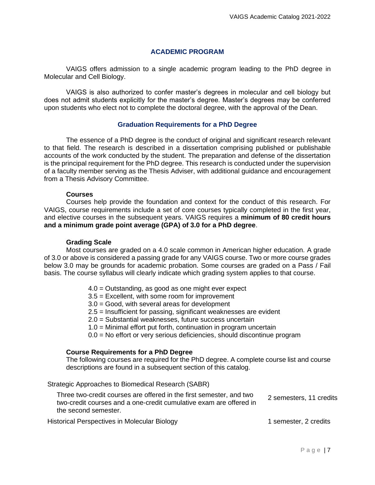# **ACADEMIC PROGRAM**

<span id="page-6-0"></span>VAIGS offers admission to a single academic program leading to the PhD degree in Molecular and Cell Biology.

VAIGS is also authorized to confer master's degrees in molecular and cell biology but does not admit students explicitly for the master's degree. Master's degrees may be conferred upon students who elect not to complete the doctoral degree, with the approval of the Dean.

# **Graduation Requirements for a PhD Degree**

<span id="page-6-1"></span>The essence of a PhD degree is the conduct of original and significant research relevant to that field. The research is described in a dissertation comprising published or publishable accounts of the work conducted by the student. The preparation and defense of the dissertation is the principal requirement for the PhD degree. This research is conducted under the supervision of a faculty member serving as the Thesis Adviser, with additional guidance and encouragement from a Thesis Advisory Committee.

# **Courses**

<span id="page-6-2"></span>Courses help provide the foundation and context for the conduct of this research. For VAIGS, course requirements include a set of core courses typically completed in the first year, and elective courses in the subsequent years. VAIGS requires a **minimum of 80 credit hours and a minimum grade point average (GPA) of 3.0 for a PhD degree**.

# **Grading Scale**

Most courses are graded on a 4.0 scale common in American higher education. A grade of 3.0 or above is considered a passing grade for any VAIGS course. Two or more course grades below 3.0 may be grounds for academic probation. Some courses are graded on a Pass / Fail basis. The course syllabus will clearly indicate which grading system applies to that course.

- 4.0 = Outstanding, as good as one might ever expect
- 3.5 = Excellent, with some room for improvement
- 3.0 = Good, with several areas for development
- 2.5 = Insufficient for passing, significant weaknesses are evident
- 2.0 = Substantial weaknesses, future success uncertain
- 1.0 = Minimal effort put forth, continuation in program uncertain
- 0.0 = No effort or very serious deficiencies, should discontinue program

# <span id="page-6-3"></span>**Course Requirements for a PhD Degree**

The following courses are required for the PhD degree. A complete course list and course descriptions are found in a subsequent section of this catalog.

Strategic Approaches to Biomedical Research (SABR)

| Three two-credit courses are offered in the first semester, and two<br>two-credit courses and a one-credit cumulative exam are offered in | 2 semesters, 11 credits |  |
|-------------------------------------------------------------------------------------------------------------------------------------------|-------------------------|--|
| the second semester.                                                                                                                      |                         |  |
|                                                                                                                                           |                         |  |

Historical Perspectives in Molecular Biology 1 semester, 2 credits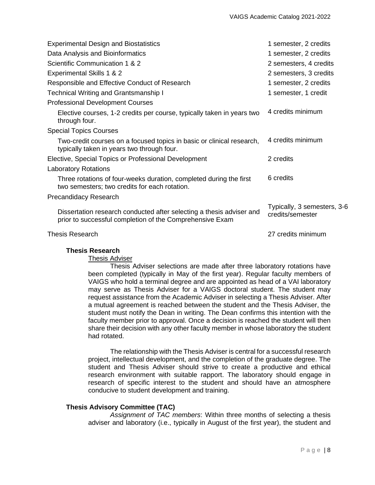| <b>Experimental Design and Biostatistics</b>                                                                                     | 1 semester, 2 credits                           |
|----------------------------------------------------------------------------------------------------------------------------------|-------------------------------------------------|
| Data Analysis and Bioinformatics                                                                                                 | 1 semester, 2 credits                           |
| Scientific Communication 1 & 2                                                                                                   | 2 semesters, 4 credits                          |
| Experimental Skills 1 & 2                                                                                                        | 2 semesters, 3 credits                          |
| Responsible and Effective Conduct of Research                                                                                    | 1 semester, 2 credits                           |
| <b>Technical Writing and Grantsmanship I</b>                                                                                     | 1 semester, 1 credit                            |
| <b>Professional Development Courses</b>                                                                                          |                                                 |
| Elective courses, 1-2 credits per course, typically taken in years two<br>through four.                                          | 4 credits minimum                               |
| <b>Special Topics Courses</b>                                                                                                    |                                                 |
| Two-credit courses on a focused topics in basic or clinical research,<br>typically taken in years two through four.              | 4 credits minimum                               |
| Elective, Special Topics or Professional Development                                                                             | 2 credits                                       |
| <b>Laboratory Rotations</b>                                                                                                      |                                                 |
| Three rotations of four-weeks duration, completed during the first<br>two semesters; two credits for each rotation.              | 6 credits                                       |
| Precandidacy Research                                                                                                            |                                                 |
| Dissertation research conducted after selecting a thesis adviser and<br>prior to successful completion of the Comprehensive Exam | Typically, 3 semesters, 3-6<br>credits/semester |
| <b>Thesis Research</b>                                                                                                           | 27 credits minimum                              |

## **Thesis Research**

# Thesis Adviser

Thesis Adviser selections are made after three laboratory rotations have been completed (typically in May of the first year). Regular faculty members of VAIGS who hold a terminal degree and are appointed as head of a VAI laboratory may serve as Thesis Adviser for a VAIGS doctoral student. The student may request assistance from the Academic Adviser in selecting a Thesis Adviser. After a mutual agreement is reached between the student and the Thesis Adviser, the student must notify the Dean in writing. The Dean confirms this intention with the faculty member prior to approval. Once a decision is reached the student will then share their decision with any other faculty member in whose laboratory the student had rotated.

The relationship with the Thesis Adviser is central for a successful research project, intellectual development, and the completion of the graduate degree. The student and Thesis Adviser should strive to create a productive and ethical research environment with suitable rapport. The laboratory should engage in research of specific interest to the student and should have an atmosphere conducive to student development and training.

# <span id="page-7-0"></span>**Thesis Advisory Committee (TAC)**

*Assignment of TAC members*: Within three months of selecting a thesis adviser and laboratory (i.e., typically in August of the first year), the student and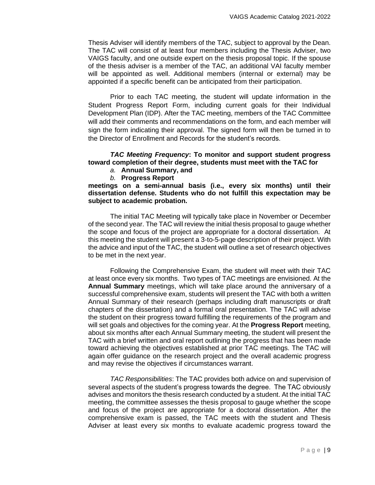Thesis Adviser will identify members of the TAC, subject to approval by the Dean. The TAC will consist of at least four members including the Thesis Adviser, two VAIGS faculty, and one outside expert on the thesis proposal topic. If the spouse of the thesis adviser is a member of the TAC, an additional VAI faculty member will be appointed as well. Additional members (internal or external) may be appointed if a specific benefit can be anticipated from their participation.

Prior to each TAC meeting, the student will update information in the Student Progress Report Form, including current goals for their Individual Development Plan (IDP). After the TAC meeting, members of the TAC Committee will add their comments and recommendations on the form, and each member will sign the form indicating their approval. The signed form will then be turned in to the Director of Enrollment and Records for the student's records.

# *TAC Meeting Frequency***: To monitor and support student progress toward completion of their degree, students must meet with the TAC for**

- *a.* **Annual Summary, and**
- *b.* **Progress Report**

**meetings on a semi-annual basis (i.e., every six months) until their dissertation defense. Students who do not fulfill this expectation may be subject to academic probation.**

The initial TAC Meeting will typically take place in November or December of the second year. The TAC will review the initial thesis proposal to gauge whether the scope and focus of the project are appropriate for a doctoral dissertation. At this meeting the student will present a 3-to-5-page description of their project. With the advice and input of the TAC, the student will outline a set of research objectives to be met in the next year.

Following the Comprehensive Exam, the student will meet with their TAC at least once every six months. Two types of TAC meetings are envisioned. At the **Annual Summary** meetings, which will take place around the anniversary of a successful comprehensive exam, students will present the TAC with both a written Annual Summary of their research (perhaps including draft manuscripts or draft chapters of the dissertation) and a formal oral presentation. The TAC will advise the student on their progress toward fulfilling the requirements of the program and will set goals and objectives for the coming year. At the **Progress Report** meeting, about six months after each Annual Summary meeting, the student will present the TAC with a brief written and oral report outlining the progress that has been made toward achieving the objectives established at prior TAC meetings. The TAC will again offer guidance on the research project and the overall academic progress and may revise the objectives if circumstances warrant.

*TAC Responsibilities*: The TAC provides both advice on and supervision of several aspects of the student's progress towards the degree. The TAC obviously advises and monitors the thesis research conducted by a student. At the initial TAC meeting, the committee assesses the thesis proposal to gauge whether the scope and focus of the project are appropriate for a doctoral dissertation. After the comprehensive exam is passed, the TAC meets with the student and Thesis Adviser at least every six months to evaluate academic progress toward the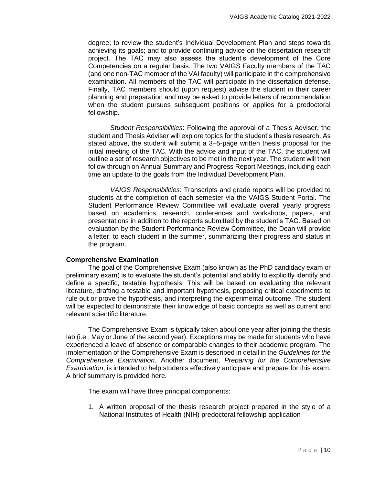degree; to review the student's Individual Development Plan and steps towards achieving its goals; and to provide continuing advice on the dissertation research project. The TAC may also assess the student's development of the Core Competencies on a regular basis. The two VAIGS Faculty members of the TAC (and one non-TAC member of the VAI faculty) will participate in the comprehensive examination. All members of the TAC will participate in the dissertation defense. Finally, TAC members should (upon request) advise the student in their career planning and preparation and may be asked to provide letters of recommendation when the student pursues subsequent positions or applies for a predoctoral fellowship.

*Student Responsibilities*: Following the approval of a Thesis Adviser, the student and Thesis Adviser will explore topics for the student's thesis research. As stated above, the student will submit a 3–5-page written thesis proposal for the initial meeting of the TAC. With the advice and input of the TAC, the student will outline a set of research objectives to be met in the next year. The student will then follow through on Annual Summary and Progress Report Meetings, including each time an update to the goals from the Individual Development Plan.

*VAIGS Responsibilities*: Transcripts and grade reports will be provided to students at the completion of each semester via the VAIGS Student Portal. The Student Performance Review Committee will evaluate overall yearly progress based on academics, research, conferences and workshops, papers, and presentations in addition to the reports submitted by the student's TAC. Based on evaluation by the Student Performance Review Committee, the Dean will provide a letter, to each student in the summer, summarizing their progress and status in the program.

# <span id="page-9-0"></span>**Comprehensive Examination**

The goal of the Comprehensive Exam (also known as the PhD candidacy exam or preliminary exam) is to evaluate the student's potential and ability to explicitly identify and define a specific, testable hypothesis. This will be based on evaluating the relevant literature, drafting a testable and important hypothesis, proposing critical experiments to rule out or prove the hypothesis, and interpreting the experimental outcome. The student will be expected to demonstrate their knowledge of basic concepts as well as current and relevant scientific literature.

The Comprehensive Exam is typically taken about one year after joining the thesis lab (i.e., May or June of the second year). Exceptions may be made for students who have experienced a leave of absence or comparable changes to their academic program. The implementation of the Comprehensive Exam is described in detail in the *Guidelines for the Comprehensive Examination*. Another document, *Preparing for the Comprehensive Examination*, is intended to help students effectively anticipate and prepare for this exam. A brief summary is provided here.

The exam will have three principal components:

1. A written proposal of the thesis research project prepared in the style of a National Institutes of Health (NIH) predoctoral fellowship application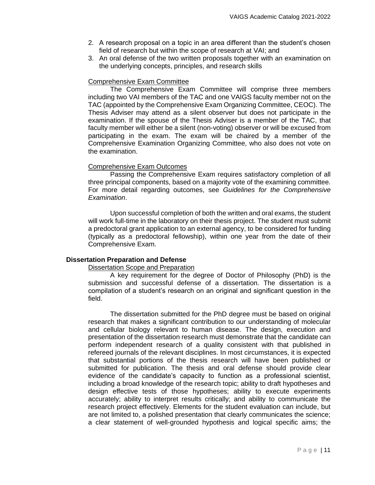- 2. A research proposal on a topic in an area different than the student's chosen field of research but within the scope of research at VAI; and
- 3. An oral defense of the two written proposals together with an examination on the underlying concepts, principles, and research skills

# Comprehensive Exam Committee

The Comprehensive Exam Committee will comprise three members including two VAI members of the TAC and one VAIGS faculty member not on the TAC (appointed by the Comprehensive Exam Organizing Committee, CEOC). The Thesis Adviser may attend as a silent observer but does not participate in the examination. If the spouse of the Thesis Adviser is a member of the TAC, that faculty member will either be a silent (non-voting) observer or will be excused from participating in the exam. The exam will be chaired by a member of the Comprehensive Examination Organizing Committee, who also does not vote on the examination.

# Comprehensive Exam Outcomes

Passing the Comprehensive Exam requires satisfactory completion of all three principal components, based on a majority vote of the examining committee. For more detail regarding outcomes, see *Guidelines for the Comprehensive Examination*.

Upon successful completion of both the written and oral exams, the student will work full-time in the laboratory on their thesis project. The student must submit a predoctoral grant application to an external agency, to be considered for funding (typically as a predoctoral fellowship), within one year from the date of their Comprehensive Exam.

# <span id="page-10-0"></span>**Dissertation Preparation and Defense**

## Dissertation Scope and Preparation

A key requirement for the degree of Doctor of Philosophy (PhD) is the submission and successful defense of a dissertation. The dissertation is a compilation of a student's research on an original and significant question in the field.

The dissertation submitted for the PhD degree must be based on original research that makes a significant contribution to our understanding of molecular and cellular biology relevant to human disease. The design, execution and presentation of the dissertation research must demonstrate that the candidate can perform independent research of a quality consistent with that published in refereed journals of the relevant disciplines. In most circumstances, it is expected that substantial portions of the thesis research will have been published or submitted for publication. The thesis and oral defense should provide clear evidence of the candidate's capacity to function as a professional scientist, including a broad knowledge of the research topic; ability to draft hypotheses and design effective tests of those hypotheses; ability to execute experiments accurately; ability to interpret results critically; and ability to communicate the research project effectively. Elements for the student evaluation can include, but are not limited to, a polished presentation that clearly communicates the science; a clear statement of well-grounded hypothesis and logical specific aims; the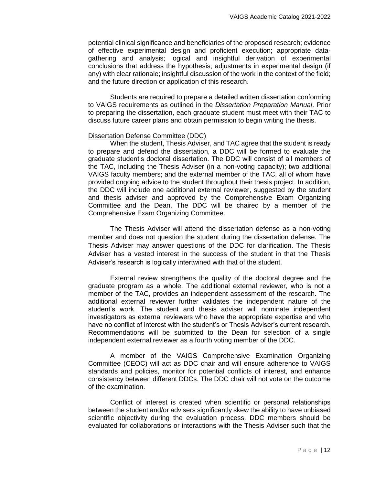potential clinical significance and beneficiaries of the proposed research; evidence of effective experimental design and proficient execution; appropriate datagathering and analysis; logical and insightful derivation of experimental conclusions that address the hypothesis; adjustments in experimental design (if any) with clear rationale; insightful discussion of the work in the context of the field; and the future direction or application of this research.

Students are required to prepare a detailed written dissertation conforming to VAIGS requirements as outlined in the *[Dissertation Preparation Manual](https://home.vai.org/sites/VAIGS/Resource%20Documents/VAIGS%20Dissertation%20Preparation%20Manual.pdf)*. Prior to preparing the dissertation, each graduate student must meet with their TAC to discuss future career plans and obtain permission to begin writing the thesis.

# Dissertation Defense Committee (DDC)

When the student, Thesis Adviser, and TAC agree that the student is ready to prepare and defend the dissertation, a DDC will be formed to evaluate the graduate student's doctoral dissertation. The DDC will consist of all members of the TAC, including the Thesis Adviser (in a non-voting capacity); two additional VAIGS faculty members; and the external member of the TAC, all of whom have provided ongoing advice to the student throughout their thesis project. In addition, the DDC will include one additional external reviewer, suggested by the student and thesis adviser and approved by the Comprehensive Exam Organizing Committee and the Dean. The DDC will be chaired by a member of the Comprehensive Exam Organizing Committee.

The Thesis Adviser will attend the dissertation defense as a non-voting member and does not question the student during the dissertation defense. The Thesis Adviser may answer questions of the DDC for clarification. The Thesis Adviser has a vested interest in the success of the student in that the Thesis Adviser's research is logically intertwined with that of the student.

External review strengthens the quality of the doctoral degree and the graduate program as a whole. The additional external reviewer, who is not a member of the TAC, provides an independent assessment of the research. The additional external reviewer further validates the independent nature of the student's work. The student and thesis adviser will nominate independent investigators as external reviewers who have the appropriate expertise and who have no conflict of interest with the student's or Thesis Adviser's current research. Recommendations will be submitted to the Dean for selection of a single independent external reviewer as a fourth voting member of the DDC.

A member of the VAIGS Comprehensive Examination Organizing Committee (CEOC) will act as DDC chair and will ensure adherence to VAIGS standards and policies, monitor for potential conflicts of interest, and enhance consistency between different DDCs. The DDC chair will not vote on the outcome of the examination.

Conflict of interest is created when scientific or personal relationships between the student and/or advisers significantly skew the ability to have unbiased scientific objectivity during the evaluation process. DDC members should be evaluated for collaborations or interactions with the Thesis Adviser such that the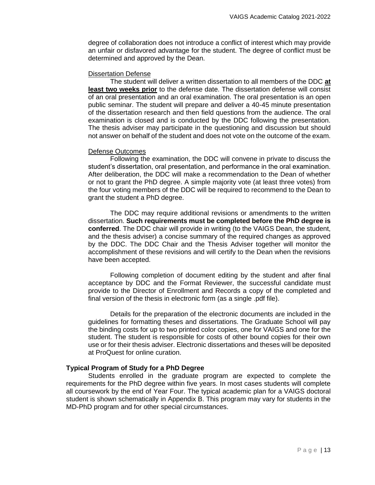degree of collaboration does not introduce a conflict of interest which may provide an unfair or disfavored advantage for the student. The degree of conflict must be determined and approved by the Dean.

## Dissertation Defense

The student will deliver a written dissertation to all members of the DDC **at least two weeks prior** to the defense date. The dissertation defense will consist of an oral presentation and an oral examination. The oral presentation is an open public seminar. The student will prepare and deliver a 40-45 minute presentation of the dissertation research and then field questions from the audience. The oral examination is closed and is conducted by the DDC following the presentation. The thesis adviser may participate in the questioning and discussion but should not answer on behalf of the student and does not vote on the outcome of the exam.

# Defense Outcomes

Following the examination, the DDC will convene in private to discuss the student's dissertation, oral presentation, and performance in the oral examination. After deliberation, the DDC will make a recommendation to the Dean of whether or not to grant the PhD degree. A simple majority vote (at least three votes) from the four voting members of the DDC will be required to recommend to the Dean to grant the student a PhD degree.

The DDC may require additional revisions or amendments to the written dissertation. **Such requirements must be completed before the PhD degree is conferred**. The DDC chair will provide in writing (to the VAIGS Dean, the student, and the thesis adviser) a concise summary of the required changes as approved by the DDC. The DDC Chair and the Thesis Adviser together will monitor the accomplishment of these revisions and will certify to the Dean when the revisions have been accepted.

Following completion of document editing by the student and after final acceptance by DDC and the Format Reviewer, the successful candidate must provide to the Director of Enrollment and Records a copy of the completed and final version of the thesis in electronic form (as a single .pdf file).

Details for the preparation of the electronic documents are included in the guidelines for formatting theses and dissertations. The Graduate School will pay the binding costs for up to two printed color copies, one for VAIGS and one for the student. The student is responsible for costs of other bound copies for their own use or for their thesis adviser. Electronic dissertations and theses will be deposited at ProQuest for online curation.

# <span id="page-12-0"></span>**Typical Program of Study for a PhD Degree**

Students enrolled in the graduate program are expected to complete the requirements for the PhD degree within five years. In most cases students will complete all coursework by the end of Year Four. The typical academic plan for a VAIGS doctoral student is shown schematically in Appendix B. This program may vary for students in the MD-PhD program and for other special circumstances.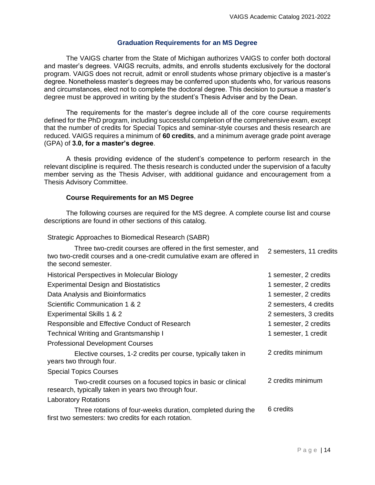# **Graduation Requirements for an MS Degree**

<span id="page-13-0"></span>The VAIGS charter from the State of Michigan authorizes VAIGS to confer both doctoral and master's degrees. VAIGS recruits, admits, and enrolls students exclusively for the doctoral program. VAIGS does not recruit, admit or enroll students whose primary objective is a master's degree. Nonetheless master's degrees may be conferred upon students who, for various reasons and circumstances, elect not to complete the doctoral degree. This decision to pursue a master's degree must be approved in writing by the student's Thesis Adviser and by the Dean.

The requirements for the master's degree include all of the core course requirements defined for the PhD program, including successful completion of the comprehensive exam, except that the number of credits for Special Topics and seminar-style courses and thesis research are reduced. VAIGS requires a minimum of **60 credits**, and a minimum average grade point average (GPA) of **3.0, for a master's degree**.

A thesis providing evidence of the student's competence to perform research in the relevant discipline is required. The thesis research is conducted under the supervision of a faculty member serving as the Thesis Adviser, with additional guidance and encouragement from a Thesis Advisory Committee.

# **Course Requirements for an MS Degree**

The following courses are required for the MS degree. A complete course list and course descriptions are found in other sections of this catalog.

Strategic Approaches to Biomedical Research (SABR)

| Three two-credit courses are offered in the first semester, and<br>two two-credit courses and a one-credit cumulative exam are offered in<br>the second semester. | 2 semesters, 11 credits |
|-------------------------------------------------------------------------------------------------------------------------------------------------------------------|-------------------------|
| Historical Perspectives in Molecular Biology                                                                                                                      | 1 semester, 2 credits   |
| <b>Experimental Design and Biostatistics</b>                                                                                                                      | 1 semester, 2 credits   |
| Data Analysis and Bioinformatics                                                                                                                                  | 1 semester, 2 credits   |
| Scientific Communication 1 & 2                                                                                                                                    | 2 semesters, 4 credits  |
| Experimental Skills 1 & 2                                                                                                                                         | 2 semesters, 3 credits  |
| Responsible and Effective Conduct of Research                                                                                                                     | 1 semester, 2 credits   |
| <b>Technical Writing and Grantsmanship I</b>                                                                                                                      | 1 semester, 1 credit    |
| <b>Professional Development Courses</b>                                                                                                                           |                         |
| Elective courses, 1-2 credits per course, typically taken in<br>years two through four.                                                                           | 2 credits minimum       |
| <b>Special Topics Courses</b>                                                                                                                                     |                         |
| Two-credit courses on a focused topics in basic or clinical<br>research, typically taken in years two through four.                                               | 2 credits minimum       |
| <b>Laboratory Rotations</b>                                                                                                                                       |                         |
| Three rotations of four-weeks duration, completed during the<br>first two semesters: two credits for each rotation.                                               | 6 credits               |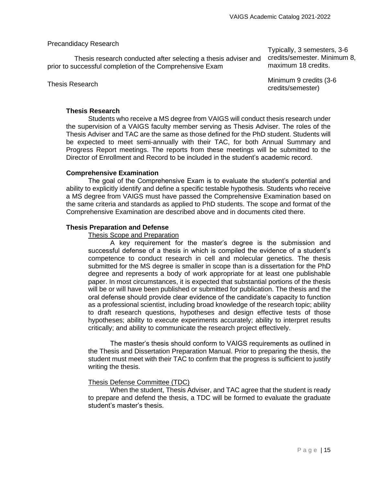# Precandidacy Research

Thesis research conducted after selecting a thesis adviser and prior to successful completion of the Comprehensive Exam

Typically, 3 semesters, 3-6 credits/semester. Minimum 8, maximum 18 credits.

Thesis Research **Minimum 9 credits (3-6** and the Minimum 9 credits (3-6 and the Minimum 9 credits (3-6 and the Minimum 9 credits (3-6 and the Minimum 9 credits (3-6 and the Minimum 9 credits (3-6 and the Minimum 9 credits credits/semester)

# <span id="page-14-0"></span>**Thesis Research**

Students who receive a MS degree from VAIGS will conduct thesis research under the supervision of a VAIGS faculty member serving as Thesis Adviser. The roles of the Thesis Adviser and TAC are the same as those defined for the PhD student. Students will be expected to meet semi-annually with their TAC, for both Annual Summary and Progress Report meetings. The reports from these meetings will be submitted to the Director of Enrollment and Record to be included in the student's academic record.

# <span id="page-14-1"></span>**Comprehensive Examination**

The goal of the Comprehensive Exam is to evaluate the student's potential and ability to explicitly identify and define a specific testable hypothesis. Students who receive a MS degree from VAIGS must have passed the Comprehensive Examination based on the same criteria and standards as applied to PhD students. The scope and format of the Comprehensive Examination are described above and in documents cited there.

# <span id="page-14-2"></span>**Thesis Preparation and Defense**

# Thesis Scope and Preparation

A key requirement for the master's degree is the submission and successful defense of a thesis in which is compiled the evidence of a student's competence to conduct research in cell and molecular genetics. The thesis submitted for the MS degree is smaller in scope than is a dissertation for the PhD degree and represents a body of work appropriate for at least one publishable paper. In most circumstances, it is expected that substantial portions of the thesis will be or will have been published or submitted for publication. The thesis and the oral defense should provide clear evidence of the candidate's capacity to function as a professional scientist, including broad knowledge of the research topic; ability to draft research questions, hypotheses and design effective tests of those hypotheses; ability to execute experiments accurately; ability to interpret results critically; and ability to communicate the research project effectively.

The master's thesis should conform to VAIGS requirements as outlined in the [Thesis and Dissertation Preparation Manual.](https://home.vai.org/sites/VAIGS/Resource%20Documents/VAIGS%20Dissertation%20Preparation%20Manual.pdf) Prior to preparing the thesis, the student must meet with their TAC to confirm that the progress is sufficient to justify writing the thesis.

# Thesis Defense Committee (TDC)

When the student, Thesis Adviser, and TAC agree that the student is ready to prepare and defend the thesis, a TDC will be formed to evaluate the graduate student's master's thesis.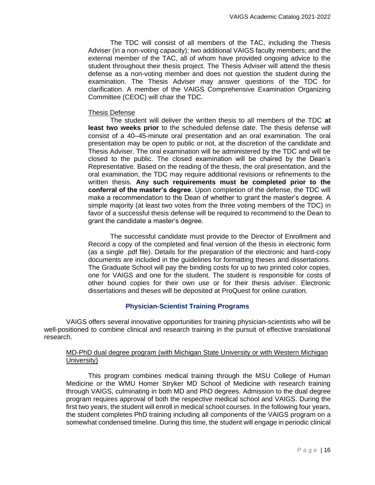The TDC will consist of all members of the TAC, including the Thesis Adviser (in a non-voting capacity); two additional VAIGS faculty members; and the external member of the TAC, all of whom have provided ongoing advice to the student throughout their thesis project. The Thesis Adviser will attend the thesis defense as a non-voting member and does not question the student during the examination. The Thesis Adviser may answer questions of the TDC for clarification. A member of the VAIGS Comprehensive Examination Organizing Committee (CEOC) will chair the TDC.

# Thesis Defense

The student will deliver the written thesis to all members of the TDC **at least two weeks prior** to the scheduled defense date. The thesis defense will consist of a 40–45-minute oral presentation and an oral examination. The oral presentation may be open to public or not, at the discretion of the candidate and Thesis Adviser. The oral examination will be administered by the TDC and will be closed to the public. The closed examination will be chaired by the Dean's Representative. Based on the reading of the thesis, the oral presentation, and the oral examination, the TDC may require additional revisions or refinements to the written thesis. **Any such requirements must be completed prior to the conferral of the master's degree**. Upon completion of the defense, the TDC will make a recommendation to the Dean of whether to grant the master's degree. A simple majority (at least two votes from the three voting members of the TDC) in favor of a successful thesis defense will be required to recommend to the Dean to grant the candidate a master's degree.

The successful candidate must provide to the Director of Enrollment and Record a copy of the completed and final version of the thesis in electronic form (as a single .pdf file). Details for the preparation of the electronic and hard-copy documents are included in the [guidelines for formatting theses and dissertations.](https://home.vai.org/sites/VAIGS/_layouts/15/WopiFrame.aspx?sourcedoc=/sites/VAIGS/Resource%20Documents/VAIGS%20Dissertation%20Specifications.pdf&action=default) The Graduate School will pay the binding costs for up to two printed color copies, one for VAIGS and one for the student. The student is responsible for costs of other bound copies for their own use or for their thesis adviser. Electronic dissertations and theses will be deposited at ProQuest for online curation.

# **Physician-Scientist Training Programs**

<span id="page-15-0"></span>VAIGS offers several innovative opportunities for training physician-scientists who will be well-positioned to combine clinical and research training in the pursuit of effective translational research.

# MD-PhD dual degree program (with Michigan State University or with Western Michigan University)

This program combines medical training through the MSU College of Human Medicine or the WMU Homer Stryker MD School of Medicine with research training through VAIGS, culminating in both MD and PhD degrees. Admission to the dual degree program requires approval of both the respective medical school and VAIGS. During the first two years, the student will enroll in medical school courses. In the following four years, the student completes PhD training including all components of the VAIGS program on a somewhat condensed timeline. During this time, the student will engage in periodic clinical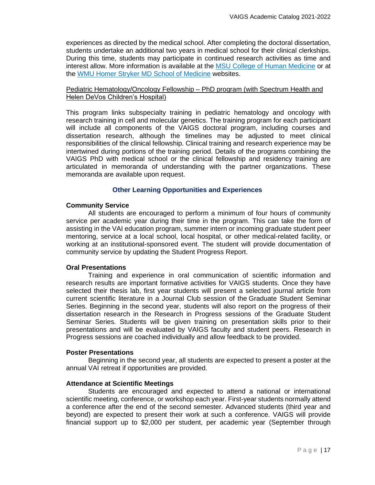experiences as directed by the medical school. After completing the doctoral dissertation, students undertake an additional two years in medical school for their clinical clerkships. During this time, students may participate in continued research activities as time and interest allow. More information is available at the [MSU College of Human Medicine](https://mdadmissions.msu.edu/programs/MD_PhD1/md-phd-chm-msu.html) or at the [WMU Homer Stryker MD School of Medicine](https://med.wmich.edu/node/267) websites.

# Pediatric Hematology/Oncology Fellowship – PhD program (with Spectrum Health and Helen DeVos Children's Hospital)

This program links subspecialty training in pediatric hematology and oncology with research training in cell and molecular genetics. The training program for each participant will include all components of the VAIGS doctoral program, including courses and dissertation research, although the timelines may be adjusted to meet clinical responsibilities of the clinical fellowship. Clinical training and research experience may be intertwined during portions of the training period. Details of the programs combining the VAIGS PhD with medical school or the clinical fellowship and residency training are articulated in memoranda of understanding with the partner organizations. These memoranda are available upon request.

# **Other Learning Opportunities and Experiences**

# <span id="page-16-1"></span><span id="page-16-0"></span>**Community Service**

All students are encouraged to perform a minimum of four hours of community service per academic year during their time in the program. This can take the form of assisting in the VAI education program, summer intern or incoming graduate student peer mentoring, service at a local school, local hospital, or other medical-related facility, or working at an institutional-sponsored event. The student will provide documentation of community service by updating the [Student Progress Report.](https://home.vai.org/sites/VAIGS/Pages/TAC.aspx)

# <span id="page-16-2"></span>**Oral Presentations**

Training and experience in oral communication of scientific information and research results are important formative activities for VAIGS students. Once they have selected their thesis lab, first year students will present a selected journal article from current scientific literature in a Journal Club session of the Graduate Student Seminar Series. Beginning in the second year, students will also report on the progress of their dissertation research in the Research in Progress sessions of the Graduate Student Seminar Series. Students will be given training on presentation skills prior to their presentations and will be evaluated by VAIGS faculty and student peers. Research in Progress sessions are coached individually and allow feedback to be provided.

## <span id="page-16-3"></span>**Poster Presentations**

Beginning in the second year, all students are expected to present a poster at the annual VAI retreat if opportunities are provided.

# <span id="page-16-4"></span>**Attendance at Scientific Meetings**

Students are encouraged and expected to attend a national or international scientific meeting, conference, or workshop each year. First-year students normally attend a conference after the end of the second semester. Advanced students (third year and beyond) are expected to present their work at such a conference. VAIGS will provide financial support up to \$2,000 per student, per academic year (September through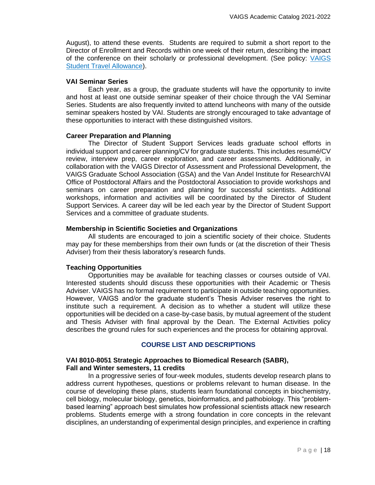August), to attend these events. Students are required to submit a short report to the Director of Enrollment and Records within one week of their return, describing the impact of the conference on their scholarly or professional development. (See policy: VAIGS Student Travel Allowance).

# <span id="page-17-0"></span>**VAI Seminar Series**

Each year, as a group, the graduate students will have the opportunity to invite and host at least one outside seminar speaker of their choice through the VAI Seminar Series. Students are also frequently invited to attend luncheons with many of the outside seminar speakers hosted by VAI. Students are strongly encouraged to take advantage of these opportunities to interact with these distinguished visitors.

# <span id="page-17-1"></span>**Career Preparation and Planning**

The Director of Student Support Services leads graduate school efforts in individual support and career planning/CV for graduate students. This includes resumé/CV review, interview prep, career exploration, and career assessments. Additionally, in collaboration with the VAIGS Director of Assessment and Professional Development, the VAIGS Graduate School Association (GSA) and the Van Andel Institute for ResearchVAI Office of Postdoctoral Affairs and the Postdoctoral Association to provide workshops and seminars on career preparation and planning for successful scientists. Additional workshops, information and activities will be coordinated by the Director of Student Support Services. A career day will be led each year by the Director of Student Support Services and a committee of graduate students.

# <span id="page-17-2"></span>**Membership in Scientific Societies and Organizations**

All students are encouraged to join a scientific society of their choice. Students may pay for these memberships from their own funds or (at the discretion of their Thesis Adviser) from their thesis laboratory's research funds.

# <span id="page-17-3"></span>**Teaching Opportunities**

Opportunities may be available for teaching classes or courses outside of VAI. Interested students should discuss these opportunities with their Academic or Thesis Adviser. VAIGS has no formal requirement to participate in outside teaching opportunities. However, VAIGS and/or the graduate student's Thesis Adviser reserves the right to institute such a requirement. A decision as to whether a student will utilize these opportunities will be decided on a case-by-case basis, by mutual agreement of the student and Thesis Adviser with final approval by the Dean. The External Activities policy describes the ground rules for such experiences and the process for obtaining approval.

# **COURSE LIST AND DESCRIPTIONS**

# **VAI 8010-8051 Strategic Approaches to Biomedical Research (SABR), Fall and Winter semesters, 11 credits**

In a progressive series of four-week modules, students develop research plans to address current hypotheses, questions or problems relevant to human disease. In the course of developing these plans, students learn foundational concepts in biochemistry, cell biology, molecular biology, genetics, bioinformatics, and pathobiology. This "problembased learning" approach best simulates how professional scientists attack new research problems. Students emerge with a strong foundation in core concepts in the relevant disciplines, an understanding of experimental design principles, and experience in crafting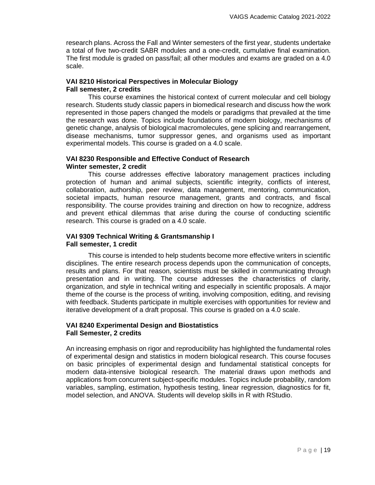research plans. Across the Fall and Winter semesters of the first year, students undertake a total of five two-credit SABR modules and a one-credit, cumulative final examination. The first module is graded on pass/fail; all other modules and exams are graded on a 4.0 scale.

# **VAI 8210 Historical Perspectives in Molecular Biology Fall semester, 2 credits**

This course examines the historical context of current molecular and cell biology research. Students study classic papers in biomedical research and discuss how the work represented in those papers changed the models or paradigms that prevailed at the time the research was done. Topics include foundations of modern biology, mechanisms of genetic change, analysis of biological macromolecules, gene splicing and rearrangement, disease mechanisms, tumor suppressor genes, and organisms used as important experimental models. This course is graded on a 4.0 scale.

# **VAI 8230 Responsible and Effective Conduct of Research Winter semester, 2 credit**

This course addresses effective laboratory management practices including protection of human and animal subjects, scientific integrity, conflicts of interest, collaboration, authorship, peer review, data management, mentoring, communication, societal impacts, human resource management, grants and contracts, and fiscal responsibility. The course provides training and direction on how to recognize, address and prevent ethical dilemmas that arise during the course of conducting scientific research. This course is graded on a 4.0 scale.

# **VAI 9309 Technical Writing & Grantsmanship I Fall semester, 1 credit**

This course is intended to help students become more effective writers in scientific disciplines. The entire research process depends upon the communication of concepts, results and plans. For that reason, scientists must be skilled in communicating through presentation and in writing. The course addresses the characteristics of clarity, organization, and style in technical writing and especially in scientific proposals. A major theme of the course is the process of writing, involving composition, editing, and revising with feedback. Students participate in multiple exercises with opportunities for review and iterative development of a draft proposal. This course is graded on a 4.0 scale.

# **VAI 8240 Experimental Design and Biostatistics Fall Semester, 2 credits**

An increasing emphasis on rigor and reproducibility has highlighted the fundamental roles of experimental design and statistics in modern biological research. This course focuses on basic principles of experimental design and fundamental statistical concepts for modern data-intensive biological research. The material draws upon methods and applications from concurrent subject-specific modules. Topics include probability, random variables, sampling, estimation, hypothesis testing, linear regression, diagnostics for fit, model selection, and ANOVA. Students will develop skills in R with RStudio.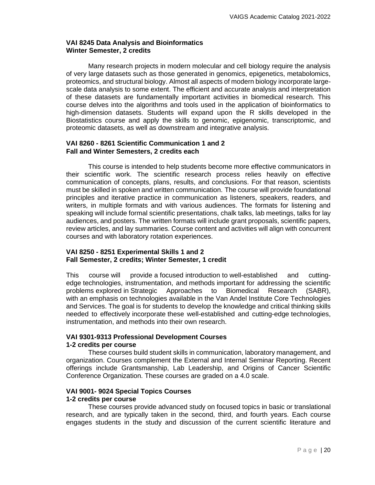# **VAI 8245 Data Analysis and Bioinformatics Winter Semester, 2 credits**

Many research projects in modern molecular and cell biology require the analysis of very large datasets such as those generated in genomics, epigenetics, metabolomics, proteomics, and structural biology. Almost all aspects of modern biology incorporate largescale data analysis to some extent. The efficient and accurate analysis and interpretation of these datasets are fundamentally important activities in biomedical research. This course delves into the algorithms and tools used in the application of bioinformatics to high-dimension datasets. Students will expand upon the R skills developed in the Biostatistics course and apply the skills to genomic, epigenomic, transcriptomic, and proteomic datasets, as well as downstream and integrative analysis.

# **VAI 8260 - 8261 Scientific Communication 1 and 2 Fall and Winter Semesters, 2 credits each**

This course is intended to help students become more effective communicators in their scientific work. The scientific research process relies heavily on effective communication of concepts, plans, results, and conclusions. For that reason, scientists must be skilled in spoken and written communication. The course will provide foundational principles and iterative practice in communication as listeners, speakers, readers, and writers, in multiple formats and with various audiences. The formats for listening and speaking will include formal scientific presentations, chalk talks, lab meetings, talks for lay audiences, and posters. The written formats will include grant proposals, scientific papers, review articles, and lay summaries. Course content and activities will align with concurrent courses and with laboratory rotation experiences.

# **VAI 8250 - 8251 Experimental Skills 1 and 2 Fall Semester, 2 credits; Winter Semester, 1 credit**

This course will provide a focused introduction to well-established and cuttingedge technologies, instrumentation, and methods important for addressing the scientific problems explored in Strategic Approaches to Biomedical Research (SABR), with an emphasis on technologies available in the Van Andel Institute Core Technologies and Services. The goal is for students to develop the knowledge and critical thinking skills needed to effectively incorporate these well-established and cutting-edge technologies, instrumentation, and methods into their own research.

#### **VAI 9301-9313 Professional Development Courses 1-2 credits per course**

These courses build student skills in communication, laboratory management, and organization. Courses complement the External and Internal Seminar Reporting. Recent offerings include Grantsmanship, Lab Leadership, and Origins of Cancer Scientific Conference Organization. These courses are graded on a 4.0 scale.

# **VAI 9001- 9024 Special Topics Courses**

# **1-2 credits per course**

These courses provide advanced study on focused topics in basic or translational research, and are typically taken in the second, third, and fourth years. Each course engages students in the study and discussion of the current scientific literature and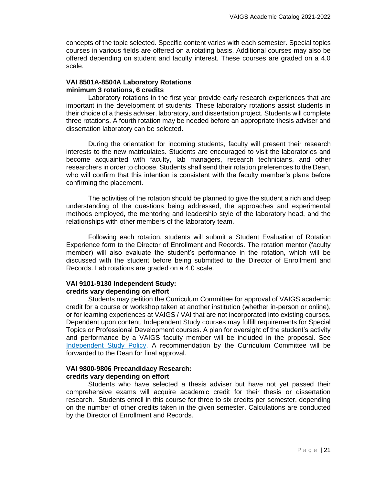concepts of the topic selected. Specific content varies with each semester. Special topics courses in various fields are offered on a rotating basis. Additional courses may also be offered depending on student and faculty interest. These courses are graded on a 4.0 scale.

# **VAI 8501A-8504A Laboratory Rotations minimum 3 rotations, 6 credits**

Laboratory rotations in the first year provide early research experiences that are important in the development of students. These laboratory rotations assist students in their choice of a thesis adviser, laboratory, and dissertation project. Students will complete three rotations. A fourth rotation may be needed before an appropriate thesis adviser and dissertation laboratory can be selected.

During the orientation for incoming students, faculty will present their research interests to the new matriculates. Students are encouraged to visit the laboratories and become acquainted with faculty, lab managers, research technicians, and other researchers in order to choose. Students shall send their rotation preferences to the Dean, who will confirm that this intention is consistent with the faculty member's plans before confirming the placement.

The activities of the rotation should be planned to give the student a rich and deep understanding of the questions being addressed, the approaches and experimental methods employed, the mentoring and leadership style of the laboratory head, and the relationships with other members of the laboratory team.

Following each rotation, students will submit a Student Evaluation of Rotation Experience form to the Director of Enrollment and Records. The rotation mentor (faculty member) will also evaluate the student's performance in the rotation, which will be discussed with the student before being submitted to the Director of Enrollment and Records. Lab rotations are graded on a 4.0 scale.

# **VAI 9101-9130 Independent Study: credits vary depending on effort**

Students may petition the Curriculum Committee for approval of VAIGS academic credit for a course or workshop taken at another institution (whether in-person or online), or for learning experiences at VAIGS / VAI that are not incorporated into existing courses. Dependent upon content, Independent Study courses may fulfill requirements for Special Topics or Professional Development courses. A plan for oversight of the student's activity and performance by a VAIGS faculty member will be included in the proposal. See [Independent Study Policy.](https://vanandelinstitute.sharepoint.com/sites/vaigs/Resource%20Documents/GS-POL-041%20Independent%20Study%20and%20MOOCs.pdf) A recommendation by the Curriculum Committee will be forwarded to the Dean for final approval.

# **VAI 9800-9806 Precandidacy Research: credits vary depending on effort**

Students who have selected a thesis adviser but have not yet passed their comprehensive exams will acquire academic credit for their thesis or dissertation research. Students enroll in this course for three to six credits per semester, depending on the number of other credits taken in the given semester. Calculations are conducted by the Director of Enrollment and Records.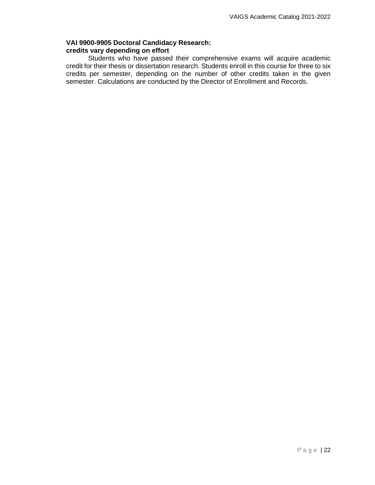# **VAI 9900-9905 Doctoral Candidacy Research: credits vary depending on effort**

Students who have passed their comprehensive exams will acquire academic credit for their thesis or dissertation research. Students enroll in this course for three to six credits per semester, depending on the number of other credits taken in the given semester. Calculations are conducted by the Director of Enrollment and Records.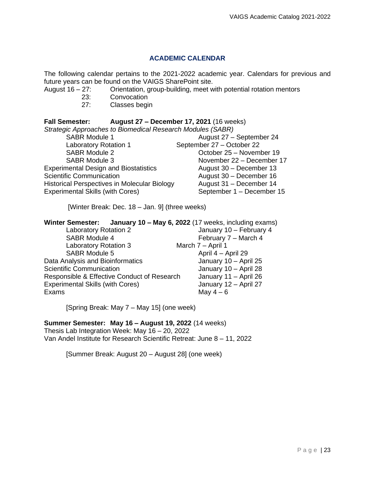# **ACADEMIC CALENDAR**

<span id="page-22-0"></span>The following calendar pertains to the 2021-2022 academic year. Calendars for previous and future years can be found on the VAIGS SharePoint site.

- August 16 27: Orientation, group-building, meet with potential rotation mentors<br>23: Convocation
	-
	- 23: Convocation<br>27: Classes begi Classes begin

# **Fall Semester: August 27 – December 17, 2021** (16 weeks)

| Strategic Approaches to Biomedical Research Modules (SABR) |                           |  |
|------------------------------------------------------------|---------------------------|--|
| <b>SABR Module 1</b>                                       | August 27 - September 24  |  |
| Laboratory Rotation 1                                      | September 27 - October 22 |  |
| <b>SABR Module 2</b>                                       | October 25 - November 19  |  |
| <b>SABR Module 3</b>                                       | November 22 - December 17 |  |
| <b>Experimental Design and Biostatistics</b>               | August 30 - December 13   |  |
| <b>Scientific Communication</b>                            | August 30 - December 16   |  |
| <b>Historical Perspectives in Molecular Biology</b>        | August 31 - December 14   |  |
| <b>Experimental Skills (with Cores)</b>                    | September 1 - December 15 |  |

[Winter Break: Dec. 18 – Jan. 9] (three weeks)

# **Winter Semester: January 10 – May 6, 2022** (17 weeks, including exams)

| <b>Laboratory Rotation 2</b>                | January 10 - February 4 |
|---------------------------------------------|-------------------------|
| <b>SABR Module 4</b>                        | February 7 - March 4    |
| <b>Laboratory Rotation 3</b>                | March 7 - April 1       |
| <b>SABR Module 5</b>                        | April 4 - April 29      |
| Data Analysis and Bioinformatics            | January 10 - April 25   |
| <b>Scientific Communication</b>             | January 10 - April 28   |
| Responsible & Effective Conduct of Research | January 11 - April 26   |
| <b>Experimental Skills (with Cores)</b>     | January 12 - April 27   |
| Exams                                       | May $4-6$               |

[Spring Break: May 7 – May 15] (one week)

# **Summer Semester: May 16 – August 19, 2022** (14 weeks)

Thesis Lab Integration Week: May 16 – 20, 2022

Van Andel Institute for Research Scientific Retreat: June 8 – 11, 2022

[Summer Break: August 20 – August 28] (one week)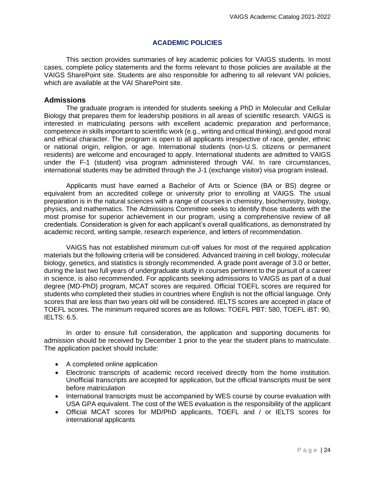# **ACADEMIC POLICIES**

<span id="page-23-0"></span>This section provides summaries of key academic policies for VAIGS students. In most cases, complete policy statements and the forms relevant to those policies are available at the [VAIGS SharePoint site.](https://home.vai.org/sites/VAIGS/Pages/FGS.aspx) Students are also responsible for adhering to all relevant VAI policies, which are available at the [VAI SharePoint site.](https://home.vai.org/sites/HR/Pages/Policies---Procedures---Guidelines.aspx)

# <span id="page-23-1"></span>**Admissions**

The graduate program is intended for students seeking a PhD in Molecular and Cellular Biology that prepares them for leadership positions in all areas of scientific research. VAIGS is interested in matriculating persons with excellent academic preparation and performance, competence in skills important to scientific work (e.g., writing and critical thinking), and good moral and ethical character. The program is open to all applicants irrespective of race, gender, ethnic or national origin, religion, or age. International students (non-U.S. citizens or permanent residents) are welcome and encouraged to apply. International students are admitted to VAIGS under the F-1 (student) visa program administered through VAI. In rare circumstances, international students may be admitted through the J-1 (exchange visitor) visa program instead.

Applicants must have earned a Bachelor of Arts or Science (BA or BS) degree or equivalent from an accredited college or university prior to enrolling at VAIGS. The usual preparation is in the natural sciences with a range of courses in chemistry, biochemistry, biology, physics, and mathematics. The Admissions Committee seeks to identify those students with the most promise for superior achievement in our program, using a comprehensive review of all credentials. Consideration is given for each applicant's overall qualifications, as demonstrated by academic record, writing sample, research experience, and letters of recommendation.

VAIGS has not established minimum cut-off values for most of the required application materials but the following criteria will be considered. Advanced training in cell biology, molecular biology, genetics, and statistics is strongly recommended. A grade point average of 3.0 or better, during the last two full years of undergraduate study in courses pertinent to the pursuit of a career in science, is also recommended. For applicants seeking admissions to VAIGS as part of a dual degree (MD-PhD) program, MCAT scores are required. Official TOEFL scores are required for students who completed their studies in countries where English is not the official language. Only scores that are less than two years old will be considered. IELTS scores are accepted in place of TOEFL scores. The minimum required scores are as follows: TOEFL PBT: 580, TOEFL iBT: 90, IELTS: 6.5.

In order to ensure full consideration, the application and supporting documents for admission should be received by December 1 prior to the year the student plans to matriculate. The application packet should include:

- A completed online application
- Electronic transcripts of academic record received directly from the home institution. Unofficial transcripts are accepted for application, but the official transcripts must be sent before matriculation
- International transcripts must be accompanied by WES course by course evaluation with USA GPA equivalent. The cost of the [WES evaluation](http://www.wes.org/) is the responsibility of the applicant
- Official MCAT scores for MD/PhD applicants, TOEFL and / or IELTS scores for international applicants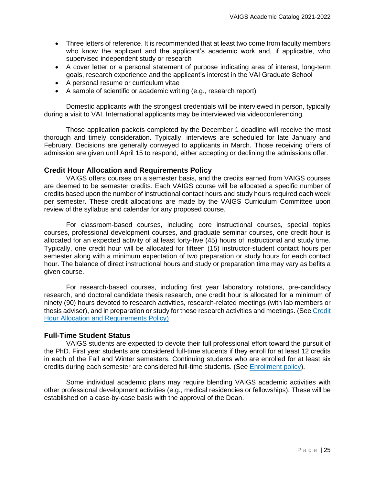- Three letters of reference. It is recommended that at least two come from faculty members who know the applicant and the applicant's academic work and, if applicable, who supervised independent study or research
- A cover letter or a personal statement of purpose indicating area of interest, long-term goals, research experience and the applicant's interest in the VAI Graduate School
- A personal resume or curriculum vitae
- A sample of scientific or academic writing (e.g., research report)

Domestic applicants with the strongest credentials will be interviewed in person, typically during a visit to VAI. International applicants may be interviewed via videoconferencing.

Those application packets completed by the December 1 deadline will receive the most thorough and timely consideration. Typically, interviews are scheduled for late January and February. Decisions are generally conveyed to applicants in March. Those receiving offers of admission are given until April 15 to respond, either accepting or declining the admissions offer.

# <span id="page-24-0"></span>**Credit Hour Allocation and Requirements Policy**

VAIGS offers courses on a semester basis, and the credits earned from VAIGS courses are deemed to be semester credits. Each VAIGS course will be allocated a specific number of credits based upon the number of instructional contact hours and study hours required each week per semester. These credit allocations are made by the VAIGS Curriculum Committee upon review of the syllabus and calendar for any proposed course.

For classroom‐based courses, including core instructional courses, special topics courses, professional development courses, and graduate seminar courses, one credit hour is allocated for an expected activity of at least forty‐five (45) hours of instructional and study time. Typically, one credit hour will be allocated for fifteen (15) instructor‐student contact hours per semester along with a minimum expectation of two preparation or study hours for each contact hour. The balance of direct instructional hours and study or preparation time may vary as befits a given course.

For research‐based courses, including first year laboratory rotations, pre‐candidacy research, and doctoral candidate thesis research, one credit hour is allocated for a minimum of ninety (90) hours devoted to research activities, research‐related meetings (with lab members or thesis adviser), and in preparation or study for these research activities and meetings. (See [Credit](https://vanandelinstitute.sharepoint.com/sites/vaigs/Resource%20Documents/GS-POL-030%20Credit%20Hours.pdf)  [Hour Allocation and Requirements Policy\)](https://vanandelinstitute.sharepoint.com/sites/vaigs/Resource%20Documents/GS-POL-030%20Credit%20Hours.pdf)

# <span id="page-24-1"></span>**Full-Time Student Status**

VAIGS students are expected to devote their full professional effort toward the pursuit of the PhD. First year students are considered full-time students if they enroll for at least 12 credits in each of the Fall and Winter semesters. Continuing students who are enrolled for at least six credits during each semester are considered full-time students. (See [Enrollment policy\)](https://vanandelinstitute.sharepoint.com/sites/vaigs/Resource%20Documents/Forms/AllItems.aspx?id=%2Fsites%2Fvaigs%2FResource%20Documents%2FGS%2DPOL%2D032%20Enrollment%2Epdf&parent=%2Fsites%2Fvaigs%2FResource%20Documents).

Some individual academic plans may require blending VAIGS academic activities with other professional development activities (e.g., medical residencies or fellowships). These will be established on a case-by-case basis with the approval of the Dean.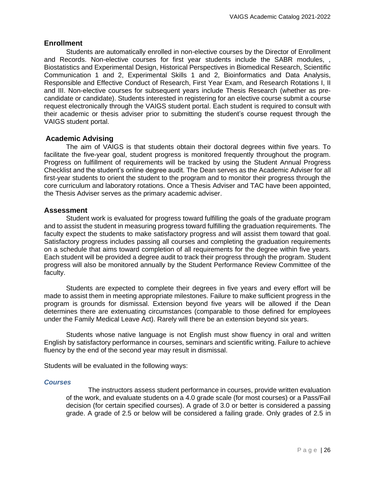# <span id="page-25-0"></span>**Enrollment**

Students are automatically enrolled in non-elective courses by the Director of Enrollment and Records. Non-elective courses for first year students include the SABR modules, , Biostatistics and Experimental Design, Historical Perspectives in Biomedical Research, Scientific Communication 1 and 2, Experimental Skills 1 and 2, Bioinformatics and Data Analysis, Responsible and Effective Conduct of Research, First Year Exam, and Research Rotations I, II and III. Non-elective courses for subsequent years include Thesis Research (whether as precandidate or candidate). Students interested in registering for an elective course submit a course request electronically through the VAIGS student portal. Each student is required to consult with their academic or thesis adviser prior to submitting the student's course request through the VAIGS student portal.

# <span id="page-25-1"></span>**Academic Advising**

The aim of VAIGS is that students obtain their doctoral degrees within five years. To facilitate the five-year goal, student progress is monitored frequently throughout the program. Progress on fulfillment of requirements will be tracked by using the Student Annual Progress Checklist and the student's online degree audit. The Dean serves as the Academic Adviser for all first-year students to orient the student to the program and to monitor their progress through the core curriculum and laboratory rotations. Once a Thesis Adviser and TAC have been appointed, the Thesis Adviser serves as the primary academic adviser.

# <span id="page-25-2"></span>**Assessment**

Student work is evaluated for progress toward fulfilling the goals of the graduate program and to assist the student in measuring progress toward fulfilling the graduation requirements. The faculty expect the students to make satisfactory progress and will assist them toward that goal. Satisfactory progress includes passing all courses and completing the graduation requirements on a schedule that aims toward completion of all requirements for the degree within five years. Each student will be provided a degree audit to track their progress through the program. Student progress will also be monitored annually by the Student Performance Review Committee of the faculty.

Students are expected to complete their degrees in five years and every effort will be made to assist them in meeting appropriate milestones. Failure to make sufficient progress in the program is grounds for dismissal. Extension beyond five years will be allowed if the Dean determines there are extenuating circumstances (comparable to those defined for employees under the Family Medical Leave Act). Rarely will there be an extension beyond six years.

Students whose native language is not English must show fluency in oral and written English by satisfactory performance in courses, seminars and scientific writing. Failure to achieve fluency by the end of the second year may result in dismissal.

Students will be evaluated in the following ways:

# <span id="page-25-3"></span>*Courses*

The instructors assess student performance in courses, provide written evaluation of the work, and evaluate students on a 4.0 grade scale (for most courses) or a Pass/Fail decision (for certain specified courses). A grade of 3.0 or better is considered a passing grade. A grade of 2.5 or below will be considered a failing grade. Only grades of 2.5 in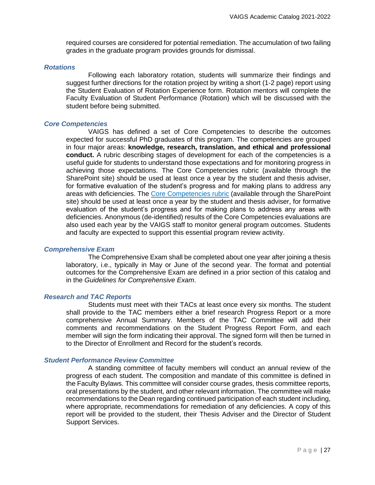required courses are considered for potential remediation. The accumulation of two failing grades in the graduate program provides grounds for dismissal.

#### <span id="page-26-0"></span>*Rotations*

Following each laboratory rotation, students will summarize their findings and suggest further directions for the rotation project by writing a short (1-2 page) report using the Student Evaluation of Rotation Experience form. Rotation mentors will complete the Faculty Evaluation of Student Performance (Rotation) which will be discussed with the student before being submitted.

#### <span id="page-26-1"></span>*Core Competencies*

VAIGS has defined a set of Core Competencies to describe the outcomes expected for successful PhD graduates of this program. The competencies are grouped in four major areas: **knowledge, research, translation, and ethical and professional conduct.** A rubric describing stages of development for each of the competencies is a useful guide for students to understand those expectations and for monitoring progress in achieving those expectations. The [Core Competencies rubric](https://vanandelinstitute.sharepoint.com/sites/vaigs/Resource%20Documents/VAIGS%20Core%20Competencies.pdf) (available through the SharePoint site) should be used at least once a year by the student and thesis adviser, for formative evaluation of the student's progress and for making plans to address any areas with deficiencies. The [Core Competencies rubric](https://vanandelinstitute.sharepoint.com/sites/vaigs/Resource%20Documents/VAIGS%20Core%20Competencies.pdf) (available through the SharePoint site) should be used at least once a year by the student and thesis adviser, for formative evaluation of the student's progress and for making plans to address any areas with deficiencies. Anonymous (de-identified) results of the Core Competencies evaluations are also used each year by the VAIGS staff to monitor general program outcomes. Students and faculty are expected to support this essential program review activity.

# <span id="page-26-2"></span>*Comprehensive Exam*

The Comprehensive Exam shall be completed about one year after joining a thesis laboratory, i.e., typically in May or June of the second year. The format and potential outcomes for the Comprehensive Exam are defined in a prior section of this catalog and in the *Guidelines for Comprehensive Exam*.

## <span id="page-26-3"></span>*Research and TAC Reports*

Students must meet with their TACs at least once every six months. The student shall provide to the TAC members either a brief research Progress Report or a more comprehensive Annual Summary. Members of the TAC Committee will add their comments and recommendations on the [Student Progress Report](https://home.vai.org/sites/VAIGS/Pages/TAC.aspx) Form, and each member will sign the form indicating their approval. The signed form will then be turned in to the Director of Enrollment and Record for the student's records.

# <span id="page-26-4"></span>*Student Performance Review Committee*

A standing committee of faculty members will conduct an annual review of the progress of each student. The composition and mandate of this committee is defined in the Faculty Bylaws. This committee will consider course grades, thesis committee reports, oral presentations by the student, and other relevant information. The committee will make recommendations to the Dean regarding continued participation of each student including, where appropriate, recommendations for remediation of any deficiencies. A copy of this report will be provided to the student, their Thesis Adviser and the Director of Student Support Services.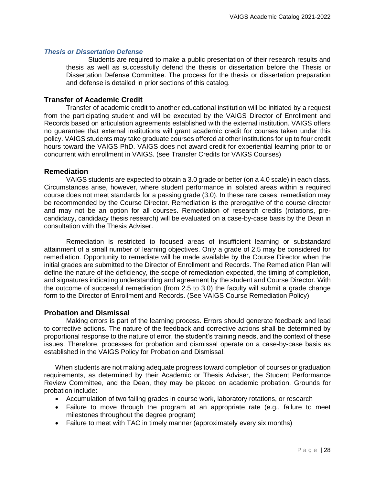# <span id="page-27-0"></span>*Thesis or Dissertation Defense*

Students are required to make a public presentation of their research results and thesis as well as successfully defend the thesis or dissertation before the Thesis or Dissertation Defense Committee. The process for the thesis or dissertation preparation and defense is detailed in prior sections of this catalog.

# <span id="page-27-1"></span>**Transfer of Academic Credit**

Transfer of academic credit to another educational institution will be initiated by a request from the participating student and will be executed by the VAIGS Director of Enrollment and Records based on articulation agreements established with the external institution. VAIGS offers no guarantee that external institutions will grant academic credit for courses taken under this policy. VAIGS students may take graduate courses offered at other institutions for up to four credit hours toward the VAIGS PhD. VAIGS does not award credit for experiential learning prior to or concurrent with enrollment in VAIGS. [\(see Transfer Credits for VAIGS Courses\)](https://vanandelinstitute.sharepoint.com/sites/vaigs/Resource%20Documents/GS-POL-006%20Transfer%20Credits%20for%20VAIGS%20Courses.pdf)

# <span id="page-27-2"></span>**Remediation**

VAIGS students are expected to obtain a 3.0 grade or better (on a 4.0 scale) in each class. Circumstances arise, however, where student performance in isolated areas within a required course does not meet standards for a passing grade (3.0). In these rare cases, remediation may be recommended by the Course Director. Remediation is the prerogative of the course director and may not be an option for all courses. Remediation of research credits (rotations, precandidacy, candidacy thesis research) will be evaluated on a case-by-case basis by the Dean in consultation with the Thesis Adviser.

Remediation is restricted to focused areas of insufficient learning or substandard attainment of a small number of learning objectives. Only a grade of 2.5 may be considered for remediation. Opportunity to remediate will be made available by the Course Director when the initial grades are submitted to the Director of Enrollment and Records. The Remediation Plan will define the nature of the deficiency, the scope of remediation expected, the timing of completion, and signatures indicating understanding and agreement by the student and Course Director. With the outcome of successful remediation (from 2.5 to 3.0) the faculty will submit a grade change form to the Director of Enrollment and Records. (See [VAIGS Course Remediation Policy\)](https://vanandelinstitute.sharepoint.com/sites/vaigs/Resource%20Documents/GS-POL-008%20VAIGS%20Course%20Remediation%20Policy.pdf)

# <span id="page-27-3"></span>**Probation and Dismissal**

Making errors is part of the learning process. Errors should generate feedback and lead to corrective actions. The nature of the feedback and corrective actions shall be determined by proportional response to the nature of error, the student's training needs, and the context of these issues. Therefore, processes for probation and dismissal operate on a case-by-case basis as established in the [VAIGS Policy for Probation and Dismissal.](https://vanandelinstitute.sharepoint.com/sites/vaigs/Resource%20Documents/GS-POL-015%20VAIGS%20Policy%20for%20Probation%20and%20Dismissal.pdf)

When students are not making adequate progress toward completion of courses or graduation requirements, as determined by their Academic or Thesis Adviser, the Student Performance Review Committee, and the Dean, they may be placed on academic probation. Grounds for probation include:

- Accumulation of two failing grades in course work, laboratory rotations, or research
- Failure to move through the program at an appropriate rate (e.g., failure to meet milestones throughout the degree program)
- Failure to meet with TAC in timely manner (approximately every six months)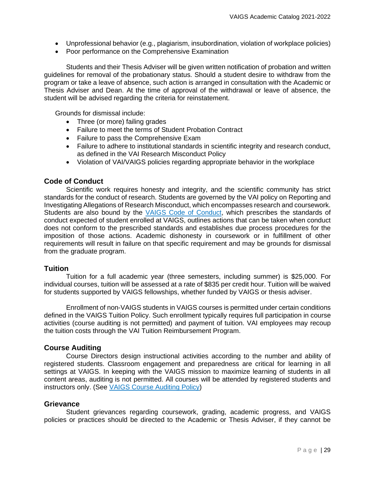- Unprofessional behavior (e.g., plagiarism, insubordination, violation of workplace policies)
- Poor performance on the Comprehensive Examination

Students and their Thesis Adviser will be given written notification of probation and written guidelines for removal of the probationary status. Should a student desire to withdraw from the program or take a leave of absence, such action is arranged in consultation with the Academic or Thesis Adviser and Dean. At the time of approval of the withdrawal or leave of absence, the student will be advised regarding the criteria for reinstatement.

Grounds for dismissal include:

- Three (or more) failing grades
- Failure to meet the terms of Student Probation Contract
- Failure to pass the Comprehensive Exam
- Failure to adhere to institutional standards in scientific integrity and research conduct, as defined in the VAI Research Misconduct Policy
- Violation of VAI/VAIGS policies regarding appropriate behavior in the workplace

# <span id="page-28-0"></span>**Code of Conduct**

Scientific work requires honesty and integrity, and the scientific community has strict standards for the conduct of research. Students are governed by the VAI policy on Reporting and Investigating Allegations of Research Misconduct, which encompasses research and coursework. Students are also bound by the [VAIGS Code of Conduct,](https://vanandelinstitute.sharepoint.com/sites/vaigs/Resource%20Documents/GS-POL-035%20Code%20of%20Conduct.pdf) which prescribes the standards of conduct expected of student enrolled at VAIGS, outlines actions that can be taken when conduct does not conform to the prescribed standards and establishes due process procedures for the imposition of those actions. Academic dishonesty in coursework or in fulfillment of other requirements will result in failure on that specific requirement and may be grounds for dismissal from the graduate program.

# <span id="page-28-1"></span>**[Tuition](http://sp.vai.org/vaigs/PoliciesAndProcedures/GS-POL-001%20Tuition%20and%20Enrollment%20for%20VAIGS%20Courses%20by%20Non-VAIGS%20Students.pdf)**

Tuition for a full academic year (three semesters, including summer) is \$25,000. For individual courses, tuition will be assessed at a rate of \$835 per credit hour. Tuition will be waived for students supported by VAIGS fellowships, whether funded by VAIGS or thesis adviser.

Enrollment of non-VAIGS students in VAIGS courses is permitted under certain conditions defined in the [VAIGS Tuition Policy.](https://vanandelinstitute.sharepoint.com/sites/vaigs/Resource%20Documents/GS-POL-001%20Tuition%20and%20Enrollment%20for%20VAIGS%20Courses%20by%20Non-VAIGS%20Students.pdf) Such enrollment typically requires full participation in course activities (course auditing is not permitted) and payment of tuition. VAI employees may recoup the tuition costs through the [VAI Tuition Reimbursement Program.](https://vanandelinstitute.sharepoint.com/sites/Benefits-VAIHumanResources/SitePages/$$$$$.aspx?Mode=Edit)

# <span id="page-28-2"></span>**Course Auditing**

Course Directors design instructional activities according to the number and ability of registered students. Classroom engagement and preparedness are critical for learning in all settings at VAIGS. In keeping with the VAIGS mission to maximize learning of students in all content areas, auditing is not permitted. All courses will be attended by registered students and instructors only. (See [VAIGS Course Auditing Policy\)](https://home.vai.org/sites/VAIGS/Resource%20Documents/GS-POL-005%20VAIGS%20Course%20Auditing%20Policy.pdf)

# <span id="page-28-3"></span>**Grievance**

Student grievances regarding coursework, grading, academic progress, and VAIGS policies or practices should be directed to the Academic or Thesis Adviser, if they cannot be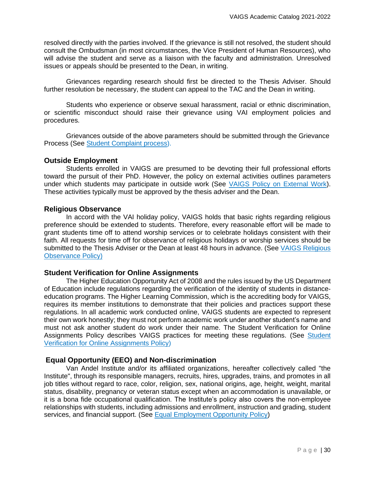resolved directly with the parties involved. If the grievance is still not resolved, the student should consult the Ombudsman (in most circumstances, the Vice President of Human Resources), who will advise the student and serve as a liaison with the faculty and administration. Unresolved issues or appeals should be presented to the Dean, in writing.

Grievances regarding research should first be directed to the Thesis Adviser. Should further resolution be necessary, the student can appeal to the TAC and the Dean in writing.

Students who experience or observe sexual harassment, racial or ethnic discrimination, or scientific misconduct should raise their grievance using VAI employment policies and procedures.

Grievances outside of the above parameters should be submitted through the Grievance Process (See [Student Complaint process\)](https://vanandelinstitute.sharepoint.com/sites/vaigs/Resource%20Documents/GS-PRO-010-Student_Complaint%20Process.pdf?CT=1627914955116&OR=ItemsView).

# <span id="page-29-0"></span>**Outside Employment**

Students enrolled in VAIGS are presumed to be devoting their full professional efforts toward the pursuit of their PhD. However, the policy on external activities outlines parameters under which students may participate in outside work (See [VAIGS Policy on External Work\)](https://vanandelinstitute.sharepoint.com/sites/vaigs/Resource%20Documents/GS-POL-021%20External%20Work.pdf). These activities typically must be approved by the thesis adviser and the Dean.

# <span id="page-29-1"></span>**[Religious Observance](http://sp.vai.org/vaigs/PoliciesAndProcedures/GS-POL-004%20VAIGS%20Religious%20Observance%20Policy.pdf)**

In accord with the VAI holiday policy, VAIGS holds that basic rights regarding religious preference should be extended to students. Therefore, every reasonable effort will be made to grant students time off to attend worship services or to celebrate holidays consistent with their faith. All requests for time off for observance of religious holidays or worship services should be submitted to the Thesis Adviser or the Dean at least 48 hours in advance. (See [VAIGS Religious](https://home.vai.org/sites/VAIGS/Resource%20Documents/GS-POL-004%20VAIGS%20Religious%20Observance%20Policy.pdf)  [Observance Policy\)](https://home.vai.org/sites/VAIGS/Resource%20Documents/GS-POL-004%20VAIGS%20Religious%20Observance%20Policy.pdf)

# <span id="page-29-2"></span>**Student Verification for Online Assignments**

The Higher Education Opportunity Act of 2008 and the rules issued by the US Department of Education include regulations regarding the verification of the identity of students in distance‐ education programs. The Higher Learning Commission, which is the accrediting body for VAIGS, requires its member institutions to demonstrate that their policies and practices support these regulations. In all academic work conducted online, VAIGS students are expected to represent their own work honestly; they must not perform academic work under another student's name and must not ask another student do work under their name. The Student Verification for Online Assignments Policy describes VAIGS practices for meeting these regulations. (See Student [Verification for Online](https://vanandelinstitute.sharepoint.com/sites/vaigs/Resource%20Documents/GS-POL-007%20Student%20Verification%20for%20Online%20Assignments.pdf) Assignments Policy)

# <span id="page-29-3"></span>**Equal Opportunity (EEO) and Non-discrimination**

Van Andel Institute and/or its affiliated organizations, hereafter collectively called "the Institute", through its responsible managers, recruits, hires, upgrades, trains, and promotes in all job titles without regard to race, color, religion, sex, national origins, age, height, weight, marital status, disability, pregnancy or veteran status except when an accommodation is unavailable, or it is a bona fide occupational qualification. The Institute's policy also covers the non-employee relationships with students, including admissions and enrollment, instruction and grading, student services, and financial support. (See [Equal Employment Opportunity Policy\)](https://vanandelinstitute.sharepoint.com/sites/HumanResources/Resource%20Documents/Policies%20-%20Procedures%20-%20Guidelines/Policies/EEO%20and%20Non-Discrimination%20Policy.pdf)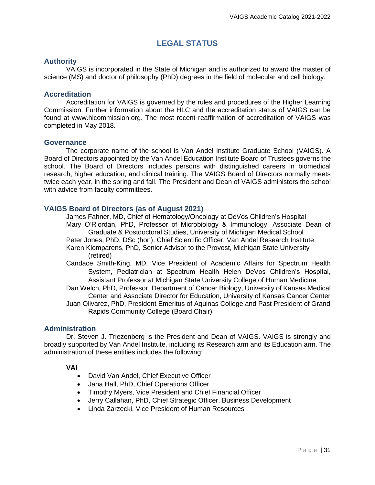# **LEGAL STATUS**

# <span id="page-30-1"></span><span id="page-30-0"></span>**Authority**

VAIGS is incorporated in the State of Michigan and is authorized to award the master of science (MS) and doctor of philosophy (PhD) degrees in the field of molecular and cell biology.

# <span id="page-30-2"></span>**Accreditation**

Accreditation for VAIGS is governed by the rules and procedures of the Higher Learning Commission. Further information about the HLC and the accreditation status of VAIGS can be found at [www.hlcommission.org.](http://www.ncahlc.org/) The most recent reaffirmation of accreditation of VAIGS was completed in May 2018.

# <span id="page-30-3"></span>**Governance**

The corporate name of the school is Van Andel Institute Graduate School (VAIGS). A Board of Directors appointed by the Van Andel Education Institute Board of Trustees governs the school. The Board of Directors includes persons with distinguished careers in biomedical research, higher education, and clinical training. The VAIGS Board of Directors normally meets twice each year, in the spring and fall. The President and Dean of VAIGS administers the school with advice from faculty committees.

# <span id="page-30-4"></span>**VAIGS Board of Directors (as of August 2021)**

James Fahner, MD, Chief of Hematology/Oncology at DeVos Children's Hospital Mary O'Riordan, PhD, Professor of Microbiology & Immunology, Associate Dean of Graduate & Postdoctoral Studies, University of Michigan Medical School Peter Jones, PhD, DSc (hon), Chief Scientific Officer, Van Andel Research Institute Karen Klomparens, PhD, Senior Advisor to the Provost, Michigan State University (retired)

- Candace Smith-King, MD, Vice President of Academic Affairs for Spectrum Health System, Pediatrician at Spectrum Health Helen DeVos Children's Hospital, Assistant Professor at Michigan State University College of Human Medicine
- Dan Welch, PhD, Professor, Department of Cancer Biology, University of Kansas Medical Center and Associate Director for Education, University of Kansas Cancer Center Juan Olivarez, PhD, President Emeritus of Aquinas College and Past President of Grand Rapids Community College (Board Chair)

# <span id="page-30-5"></span>**Administration**

Dr. Steven J. Triezenberg is the President and Dean of VAIGS. VAIGS is strongly and broadly supported by Van Andel Institute, including its Research arm and its Education arm. The administration of these entities includes the following:

# **VAI**

- David Van Andel, Chief Executive Officer
- Jana Hall, PhD, Chief Operations Officer
- Timothy Myers, Vice President and Chief Financial Officer
- Jerry Callahan, PhD, Chief Strategic Officer, Business Development
- Linda Zarzecki, Vice President of Human Resources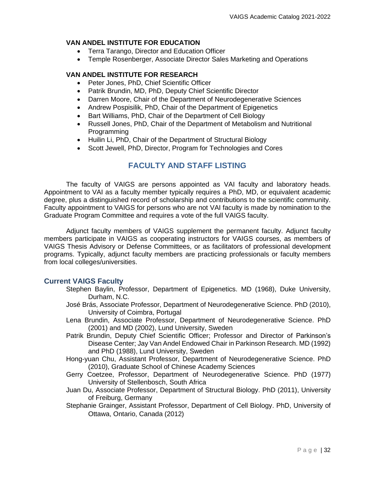# **VAN ANDEL INSTITUTE FOR EDUCATION**

- Terra Tarango, Director and Education Officer
- Temple Rosenberger, Associate Director Sales Marketing and Operations

# **VAN ANDEL INSTITUTE FOR RESEARCH**

- Peter Jones, PhD, Chief Scientific Officer
- Patrik Brundin, MD, PhD, Deputy Chief Scientific Director
- Darren Moore, Chair of the Department of Neurodegenerative Sciences
- Andrew Pospisilik, PhD, Chair of the Department of Epigenetics
- Bart Williams, PhD, Chair of the Department of Cell Biology
- Russell Jones, PhD, Chair of the Department of Metabolism and Nutritional Programming
- Huilin Li, PhD, Chair of the Department of Structural Biology
- Scott Jewell, PhD, Director, Program for Technologies and Cores

# **FACULTY AND STAFF LISTING**

<span id="page-31-0"></span>The faculty of VAIGS are persons appointed as VAI faculty and laboratory heads. Appointment to VAI as a faculty member typically requires a PhD, MD, or equivalent academic degree, plus a distinguished record of scholarship and contributions to the scientific community. Faculty appointment to VAIGS for persons who are not VAI faculty is made by nomination to the Graduate Program Committee and requires a vote of the full VAIGS faculty.

Adjunct faculty members of VAIGS supplement the permanent faculty. Adjunct faculty members participate in VAIGS as cooperating instructors for VAIGS courses, as members of VAIGS Thesis Advisory or Defense Committees, or as facilitators of professional development programs. Typically, adjunct faculty members are practicing professionals or faculty members from local colleges/universities.

# <span id="page-31-1"></span>**Current VAIGS Faculty**

- Stephen Baylin, Professor, Department of Epigenetics. MD (1968), Duke University, Durham, N.C.
- José Brás, Associate Professor, Department of Neurodegenerative Science. PhD (2010), University of Coimbra, Portugal
- Lena Brundin, Associate Professor, Department of Neurodegenerative Science. PhD (2001) and MD (2002), Lund University, Sweden
- Patrik Brundin, Deputy Chief Scientific Officer; Professor and Director of Parkinson's Disease Center; Jay Van Andel Endowed Chair in Parkinson Research. MD (1992) and PhD (1988), Lund University, Sweden
- Hong-yuan Chu, Assistant Professor, Department of Neurodegenerative Science. PhD (2010), Graduate School of Chinese Academy Sciences
- Gerry Coetzee, Professor, Department of Neurodegenerative Science. PhD (1977) [University of Stellenbosch,](http://www.sun.ac.za/english) South Africa
- Juan Du, Associate Professor, Department of Structural Biology. PhD (2011), University of Freiburg, Germany
- Stephanie Grainger, Assistant Professor, Department of Cell Biology. PhD, University of Ottawa, Ontario, Canada (2012)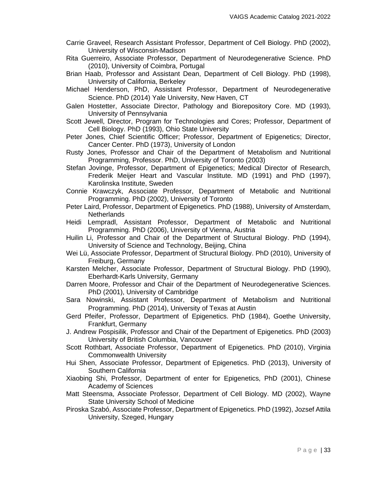- Carrie Graveel, Research Assistant Professor, Department of Cell Biology. PhD (2002), University of Wisconsin-Madison
- Rita Guerreiro, Associate Professor, Department of Neurodegenerative Science. PhD (2010), University of Coimbra, Portugal
- Brian Haab, Professor and Assistant Dean, Department of Cell Biology. PhD (1998), University of California, Berkeley
- Michael Henderson, PhD, Assistant Professor, Department of Neurodegenerative Science. PhD (2014) Yale University, New Haven, CT
- Galen Hostetter, Associate Director, Pathology and Biorepository Core. MD (1993), University of Pennsylvania
- Scott Jewell, Director, Program for Technologies and Cores; Professor, Department of Cell Biology. PhD (1993), Ohio State University
- Peter Jones, Chief Scientific Officer; Professor, Department of Epigenetics; Director, Cancer Center. PhD (1973), University of London
- Rusty Jones, Professor and Chair of the Department of Metabolism and Nutritional Programming, Professor. PhD, University of Toronto (2003)
- Stefan Jovinge, Professor, Department of Epigenetics; Medical Director of Research, Frederik Meijer Heart and Vascular Institute. MD (1991) and PhD (1997), Karolinska Institute, Sweden
- Connie Krawczyk, Associate Professor, Department of Metabolic and Nutritional Programming. PhD (2002), University of Toronto
- Peter Laird, Professor, Department of Epigenetics. PhD (1988), University of Amsterdam, **Netherlands**
- Heidi Lempradl, Assistant Professor, Department of Metabolic and Nutritional Programming. PhD (2006), University of Vienna, Austria
- Huilin Li, Professor and Chair of the Department of Structural Biology. PhD (1994), University of Science and Technology, Beijing, China
- Wei Lü, Associate Professor, Department of Structural Biology. PhD (2010), University of Freiburg, Germany
- Karsten Melcher, Associate Professor, Department of Structural Biology. PhD (1990), Eberhardt-Karls University, Germany
- Darren Moore, Professor and Chair of the Department of Neurodegenerative Sciences. PhD (2001), University of Cambridge
- Sara Nowinski, Assistant Professor, Department of Metabolism and Nutritional Programming. PhD (2014), University of Texas at Austin
- Gerd Pfeifer, Professor, Department of Epigenetics. PhD (1984), Goethe University, Frankfurt, Germany
- J. Andrew Pospisilik, Professor and Chair of the Department of Epigenetics. PhD (2003) University of British Columbia, Vancouver
- Scott Rothbart, Associate Professor, Department of Epigenetics. PhD (2010), Virginia Commonwealth University
- Hui Shen, Associate Professor, Department of Epigenetics. PhD (2013), University of Southern California
- Xiaobing Shi, Professor, Department of enter for Epigenetics, PhD (2001), Chinese Academy of Sciences
- Matt Steensma, Associate Professor, Department of Cell Biology. MD (2002), Wayne State University School of Medicine
- Piroska Szabó, Associate Professor, Department of Epigenetics. PhD (1992), Jozsef Attila University, Szeged, Hungary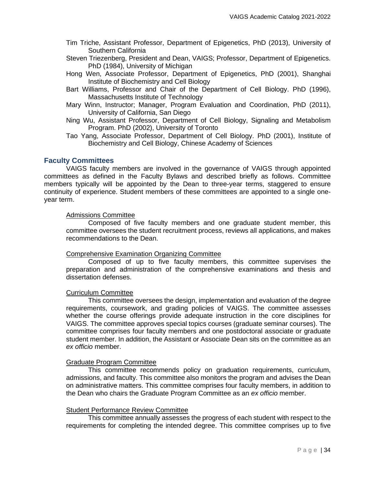- Tim Triche, Assistant Professor, Department of Epigenetics, PhD (2013), University of Southern California
- Steven Triezenberg, President and Dean, VAIGS; Professor, Department of Epigenetics. PhD (1984), University of Michigan
- Hong Wen, Associate Professor, Department of Epigenetics, PhD (2001), Shanghai Institute of Biochemistry and Cell Biology
- Bart Williams, Professor and Chair of the Department of Cell Biology. PhD (1996), Massachusetts Institute of Technology
- Mary Winn, Instructor; Manager, Program Evaluation and Coordination, PhD (2011), University of California, San Diego
- Ning Wu, Assistant Professor, Department of Cell Biology, Signaling and Metabolism Program. PhD (2002), University of Toronto
- Tao Yang, Associate Professor, Department of Cell Biology. PhD (2001), Institute of Biochemistry and Cell Biology, Chinese Academy of Sciences

# <span id="page-33-0"></span>**Faculty Committees**

VAIGS faculty members are involved in the governance of VAIGS through appointed committees as defined in the Faculty Bylaws and described briefly as follows. Committee members typically will be appointed by the Dean to three-year terms, staggered to ensure continuity of experience. Student members of these committees are appointed to a single oneyear term.

# Admissions Committee

Composed of five faculty members and one graduate student member, this committee oversees the student recruitment process, reviews all applications, and makes recommendations to the Dean.

# Comprehensive Examination Organizing Committee

Composed of up to five faculty members, this committee supervises the preparation and administration of the comprehensive examinations and thesis and dissertation defenses.

# Curriculum Committee

This committee oversees the design, implementation and evaluation of the degree requirements, coursework, and grading policies of VAIGS. The committee assesses whether the course offerings provide adequate instruction in the core disciplines for VAIGS. The committee approves special topics courses (graduate seminar courses). The committee comprises four faculty members and one postdoctoral associate or graduate student member. In addition, the Assistant or Associate Dean sits on the committee as an *ex officio* member.

# Graduate Program Committee

This committee recommends policy on graduation requirements, curriculum, admissions, and faculty. This committee also monitors the program and advises the Dean on administrative matters. This committee comprises four faculty members, in addition to the Dean who chairs the Graduate Program Committee as an *ex officio* member.

# Student Performance Review Committee

This committee annually assesses the progress of each student with respect to the requirements for completing the intended degree. This committee comprises up to five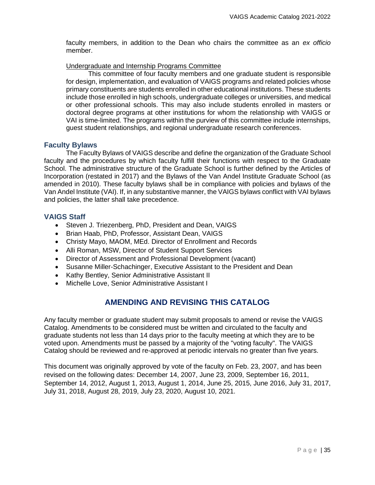faculty members, in addition to the Dean who chairs the committee as an *ex officio* member.

# Undergraduate and Internship Programs Committee

This committee of four faculty members and one graduate student is responsible for design, implementation, and evaluation of VAIGS programs and related policies whose primary constituents are students enrolled in other educational institutions. These students include those enrolled in high schools, undergraduate colleges or universities, and medical or other professional schools. This may also include students enrolled in masters or doctoral degree programs at other institutions for whom the relationship with VAIGS or VAI is time-limited. The programs within the purview of this committee include internships, guest student relationships, and regional undergraduate research conferences.

# <span id="page-34-0"></span>**Faculty Bylaws**

The Faculty Bylaws of VAIGS describe and define the organization of the Graduate School faculty and the procedures by which faculty fulfill their functions with respect to the Graduate School. The administrative structure of the Graduate School is further defined by the Articles of Incorporation (restated in 2017) and the Bylaws of the Van Andel Institute Graduate School (as amended in 2010). These faculty bylaws shall be in compliance with policies and bylaws of the Van Andel Institute (VAI). If, in any substantive manner, the VAIGS bylaws conflict with VAI bylaws and policies, the latter shall take precedence.

# <span id="page-34-1"></span>**VAIGS Staff**

- Steven J. Triezenberg, PhD, President and Dean, VAIGS
- Brian Haab, PhD, Professor, Assistant Dean, VAIGS
- Christy Mayo, MAOM, MEd. Director of Enrollment and Records
- Alli Roman, MSW, Director of Student Support Services
- Director of Assessment and Professional Development (vacant)
- Susanne Miller-Schachinger, Executive Assistant to the President and Dean
- Kathy Bentley, Senior Administrative Assistant II
- Michelle Love, Senior Administrative Assistant I

# **AMENDING AND REVISING THIS CATALOG**

<span id="page-34-2"></span>Any faculty member or graduate student may submit proposals to amend or revise the VAIGS Catalog. Amendments to be considered must be written and circulated to the faculty and graduate students not less than 14 days prior to the faculty meeting at which they are to be voted upon. Amendments must be passed by a majority of the "voting faculty". The VAIGS Catalog should be reviewed and re-approved at periodic intervals no greater than five years.

This document was originally approved by vote of the faculty on Feb. 23, 2007, and has been revised on the following dates: December 14, 2007, June 23, 2009, September 16, 2011, September 14, 2012, August 1, 2013, August 1, 2014, June 25, 2015, June 2016, July 31, 2017, July 31, 2018, August 28, 2019, July 23, 2020, August 10, 2021.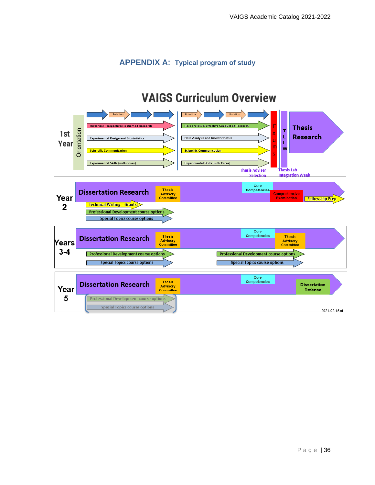# **APPENDIX A**: **Typical program of study**

# **VAIGS Curriculum Overview**

<span id="page-35-0"></span>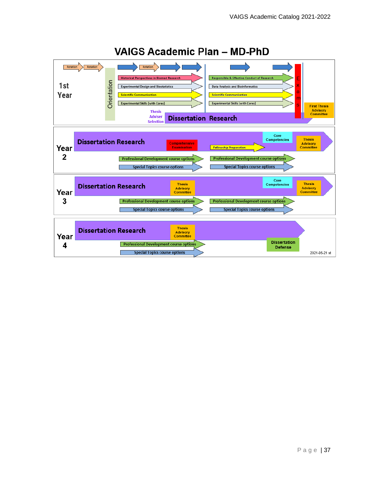

# **VAIGS Academic Plan - MD-PhD**